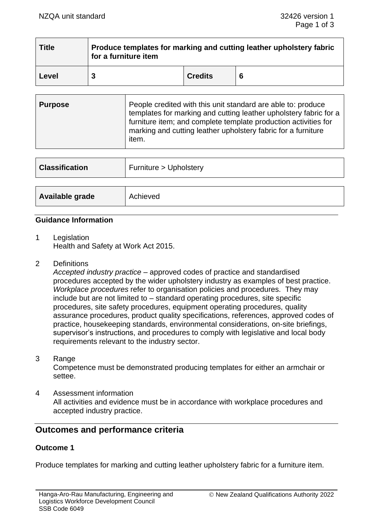| <b>Title</b> | Produce templates for marking and cutting leather upholstery fabric<br>for a furniture item |                |   |
|--------------|---------------------------------------------------------------------------------------------|----------------|---|
| Level        |                                                                                             | <b>Credits</b> | 6 |

| <b>Purpose</b> | People credited with this unit standard are able to: produce<br>templates for marking and cutting leather upholstery fabric for a<br>furniture item; and complete template production activities for<br>marking and cutting leather upholstery fabric for a furniture<br>item. |
|----------------|--------------------------------------------------------------------------------------------------------------------------------------------------------------------------------------------------------------------------------------------------------------------------------|
|                |                                                                                                                                                                                                                                                                                |

| <b>Classification</b> | Furniture > Upholstery |
|-----------------------|------------------------|
| Available grade       | Achieved               |

#### **Guidance Information**

1 Legislation Health and Safety at Work Act 2015.

2 Definitions

*Accepted industry practice* – approved codes of practice and standardised procedures accepted by the wider upholstery industry as examples of best practice. *Workplace procedures* refer to organisation policies and procedures. They may include but are not limited to – standard operating procedures, site specific procedures, site safety procedures, equipment operating procedures, quality assurance procedures, product quality specifications, references, approved codes of practice, housekeeping standards, environmental considerations, on-site briefings, supervisor's instructions, and procedures to comply with legislative and local body requirements relevant to the industry sector.

3 Range

Competence must be demonstrated producing templates for either an armchair or settee.

4 Assessment information All activities and evidence must be in accordance with workplace procedures and accepted industry practice.

# **Outcomes and performance criteria**

## **Outcome 1**

Produce templates for marking and cutting leather upholstery fabric for a furniture item.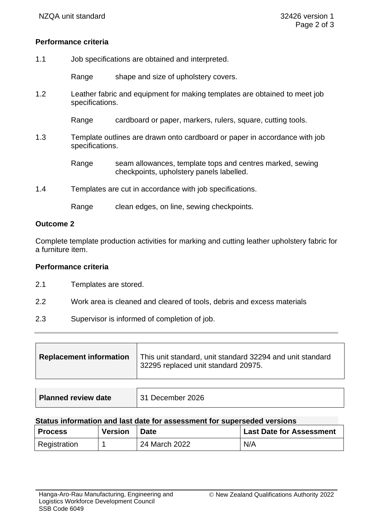## **Performance criteria**

1.1 Job specifications are obtained and interpreted.

Range shape and size of upholstery covers.

1.2 Leather fabric and equipment for making templates are obtained to meet job specifications.

Range cardboard or paper, markers, rulers, square, cutting tools.

1.3 Template outlines are drawn onto cardboard or paper in accordance with job specifications.

> Range seam allowances, template tops and centres marked, sewing checkpoints, upholstery panels labelled.

1.4 Templates are cut in accordance with job specifications.

Range clean edges, on line, sewing checkpoints.

## **Outcome 2**

Complete template production activities for marking and cutting leather upholstery fabric for a furniture item.

#### **Performance criteria**

- 2.1 Templates are stored.
- 2.2 Work area is cleaned and cleared of tools, debris and excess materials
- 2.3 Supervisor is informed of completion of job.

|  | <b>Replacement information</b> | This unit standard, unit standard 32294 and unit standard<br>32295 replaced unit standard 20975. |
|--|--------------------------------|--------------------------------------------------------------------------------------------------|
|--|--------------------------------|--------------------------------------------------------------------------------------------------|

| Planned review date | 31 December 2026 |
|---------------------|------------------|

#### **Status information and last date for assessment for superseded versions**

| <b>Process</b> | <b>Version</b> | <b>Date</b>   | <b>Last Date for Assessment</b> |
|----------------|----------------|---------------|---------------------------------|
| Registration   |                | 24 March 2022 | N/A                             |